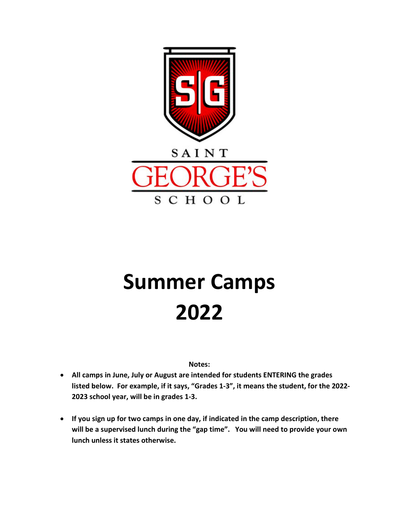

# **Summer Camps 2022**

**Notes:**

- **All camps in June, July or August are intended for students ENTERING the grades listed below. For example, if it says, "Grades 1-3", it means the student, for the 2022- 2023 school year, will be in grades 1-3.**
- **If you sign up for two camps in one day, if indicated in the camp description, there will be a supervised lunch during the "gap time". You will need to provide your own lunch unless it states otherwise.**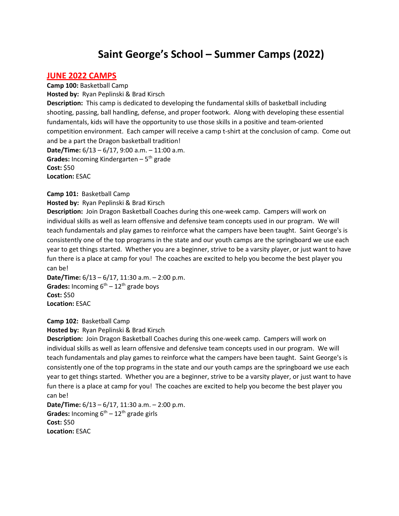# **Saint George's School – Summer Camps (2022)**

### **JUNE 2022 CAMPS**

**Camp 100:** Basketball Camp **Hosted by:** Ryan Peplinski & Brad Kirsch **Description:** This camp is dedicated to developing the fundamental skills of basketball including shooting, passing, ball handling, defense, and proper footwork. Along with developing these essential fundamentals, kids will have the opportunity to use those skills in a positive and team-oriented competition environment. Each camper will receive a camp t-shirt at the conclusion of camp. Come out and be a part the Dragon basketball tradition! **Date/Time:** 6/13 – 6/17, 9:00 a.m. – 11:00 a.m. **Grades:** Incoming Kindergarten  $-5$ <sup>th</sup> grade **Cost:** \$50 **Location:** ESAC

#### **Camp 101:** Basketball Camp

**Hosted by:** Ryan Peplinski & Brad Kirsch

**Description:** Join Dragon Basketball Coaches during this one-week camp. Campers will work on individual skills as well as learn offensive and defensive team concepts used in our program. We will teach fundamentals and play games to reinforce what the campers have been taught. Saint George's is consistently one of the top programs in the state and our youth camps are the springboard we use each year to get things started. Whether you are a beginner, strive to be a varsity player, or just want to have fun there is a place at camp for you! The coaches are excited to help you become the best player you can be!

**Date/Time:** 6/13 – 6/17, 11:30 a.m. – 2:00 p.m. **Grades:** Incoming  $6^{th} - 12^{th}$  grade boys **Cost:** \$50 **Location:** ESAC

**Camp 102:** Basketball Camp **Hosted by:** Ryan Peplinski & Brad Kirsch

**Description:** Join Dragon Basketball Coaches during this one-week camp. Campers will work on individual skills as well as learn offensive and defensive team concepts used in our program. We will teach fundamentals and play games to reinforce what the campers have been taught. Saint George's is consistently one of the top programs in the state and our youth camps are the springboard we use each year to get things started. Whether you are a beginner, strive to be a varsity player, or just want to have fun there is a place at camp for you! The coaches are excited to help you become the best player you can be!

**Date/Time:** 6/13 – 6/17, 11:30 a.m. – 2:00 p.m. **Grades:** Incoming  $6^{th} - 12^{th}$  grade girls **Cost:** \$50 **Location:** ESAC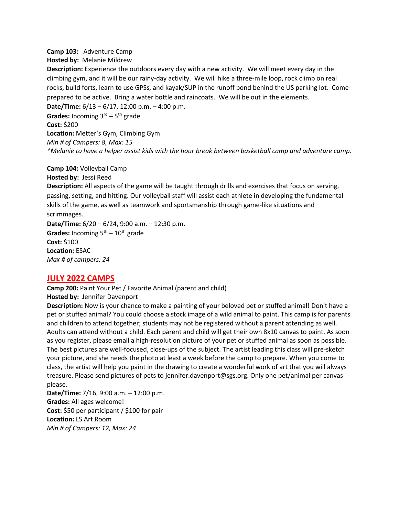#### **Camp 103:** Adventure Camp

**Hosted by:** Melanie Mildrew

**Description:** Experience the outdoors every day with a new activity. We will meet every day in the climbing gym, and it will be our rainy-day activity. We will hike a three-mile loop, rock climb on real rocks, build forts, learn to use GPSs, and kayak/SUP in the runoff pond behind the US parking lot. Come prepared to be active. Bring a water bottle and raincoats. We will be out in the elements.

**Date/Time:** 6/13 – 6/17, 12:00 p.m. – 4:00 p.m.

**Grades:** Incoming 3rd – 5th grade

**Cost:** \$200

**Location:** Metter's Gym, Climbing Gym *Min # of Campers: 8, Max: 15 \*Melanie to have a helper assist kids with the hour break between basketball camp and adventure camp.*

**Camp 104:** Volleyball Camp **Hosted by:** Jessi Reed

**Description:** All aspects of the game will be taught through drills and exercises that focus on serving, passing, setting, and hitting. Our volleyball staff will assist each athlete in developing the fundamental skills of the game, as well as teamwork and sportsmanship through game-like situations and scrimmages.

**Date/Time:** 6/20 – 6/24, 9:00 a.m. – 12:30 p.m. **Grades:** Incoming  $5<sup>th</sup> - 10<sup>th</sup>$  grade **Cost:** \$100 **Location:** ESAC *Max # of campers: 24*

# **JULY 2022 CAMPS**

**Camp 200:** Paint Your Pet / Favorite Animal (parent and child) **Hosted by:** Jennifer Davenport

**Description:** Now is your chance to make a painting of your beloved pet or stuffed animal! Don't have a pet or stuffed animal? You could choose a stock image of a wild animal to paint. This camp is for parents and children to attend together; students may not be registered without a parent attending as well. Adults can attend without a child. Each parent and child will get their own 8x10 canvas to paint. As soon as you register, please email a high-resolution picture of your pet or stuffed animal as soon as possible. The best pictures are well-focused, close-ups of the subject. The artist leading this class will pre-sketch your picture, and she needs the photo at least a week before the camp to prepare. When you come to class, the artist will help you paint in the drawing to create a wonderful work of art that you will always treasure. Please send pictures of pets to [jennifer.davenport@sgs.org.](mailto:jennifer.davenport@sgs.org) Only one pet/animal per canvas please.

**Date/Time:** 7/16, 9:00 a.m. – 12:00 p.m. **Grades:** All ages welcome! **Cost:** \$50 per participant / \$100 for pair **Location:** LS Art Room *Min # of Campers: 12, Max: 24*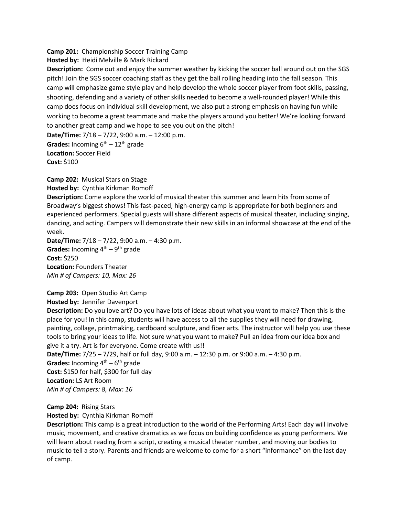**Camp 201:** Championship Soccer Training Camp

**Hosted by:** Heidi Melville & Mark Rickard

**Description:** Come out and enjoy the summer weather by kicking the soccer ball around out on the SGS pitch! Join the SGS soccer coaching staff as they get the ball rolling heading into the fall season. This camp will emphasize game style play and help develop the whole soccer player from foot skills, passing, shooting, defending and a variety of other skills needed to become a well-rounded player! While this camp does focus on individual skill development, we also put a strong emphasis on having fun while working to become a great teammate and make the players around you better! We're looking forward to another great camp and we hope to see you out on the pitch! **Date/Time:** 7/18 – 7/22, 9:00 a.m. – 12:00 p.m.

**Grades:** Incoming  $6^{th} - 12^{th}$  grade **Location:** Soccer Field **Cost:** \$100

**Camp 202:** Musical Stars on Stage **Hosted by:** Cynthia Kirkman Romoff

**Description:** Come explore the world of musical theater this summer and learn hits from some of Broadway's biggest shows! This fast-paced, high-energy camp is appropriate for both beginners and experienced performers. Special guests will share different aspects of musical theater, including singing, dancing, and acting. Campers will demonstrate their new skills in an informal showcase at the end of the week.

**Date/Time:** 7/18 – 7/22, 9:00 a.m. – 4:30 p.m. Grades: Incoming 4<sup>th</sup> – 9<sup>th</sup> grade **Cost:** \$250 **Location:** Founders Theater *Min # of Campers: 10, Max: 26*

#### **Camp 203:** Open Studio Art Camp

**Hosted by:** Jennifer Davenport

**Description:** Do you love art? Do you have lots of ideas about what you want to make? Then this is the place for you! In this camp, students will have access to all the supplies they will need for drawing, painting, collage, printmaking, cardboard sculpture, and fiber arts. The instructor will help you use these tools to bring your ideas to life. Not sure what you want to make? Pull an idea from our idea box and give it a try. Art is for everyone. Come create with us!!

**Date/Time:** 7/25 – 7/29, half or full day, 9:00 a.m. – 12:30 p.m. or 9:00 a.m. – 4:30 p.m. **Grades:** Incoming  $4^{th} - 6^{th}$  grade **Cost:** \$150 for half, \$300 for full day **Location:** LS Art Room *Min # of Campers: 8, Max: 16*

**Camp 204:** Rising Stars

**Hosted by:** Cynthia Kirkman Romoff

**Description:** This camp is a great introduction to the world of the Performing Arts! Each day will involve music, movement, and creative dramatics as we focus on building confidence as young performers. We will learn about reading from a script, creating a musical theater number, and moving our bodies to music to tell a story. Parents and friends are welcome to come for a short "informance" on the last day of camp.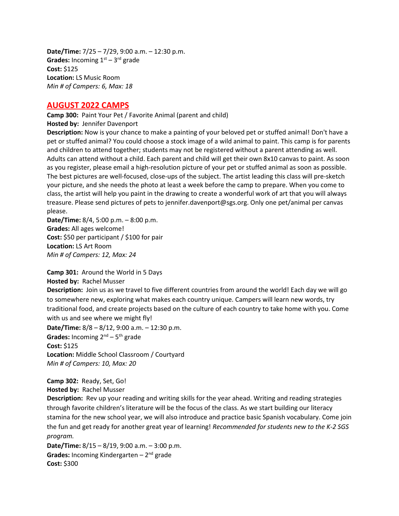**Date/Time:** 7/25 – 7/29, 9:00 a.m. – 12:30 p.m. **Grades:** Incoming  $1<sup>st</sup> - 3<sup>rd</sup>$  grade **Cost:** \$125 **Location:** LS Music Room *Min # of Campers: 6, Max: 18* 

## **AUGUST 2022 CAMPS**

**Camp 300:** Paint Your Pet / Favorite Animal (parent and child) **Hosted by:** Jennifer Davenport

**Description:** Now is your chance to make a painting of your beloved pet or stuffed animal! Don't have a pet or stuffed animal? You could choose a stock image of a wild animal to paint. This camp is for parents and children to attend together; students may not be registered without a parent attending as well. Adults can attend without a child. Each parent and child will get their own 8x10 canvas to paint. As soon as you register, please email a high-resolution picture of your pet or stuffed animal as soon as possible. The best pictures are well-focused, close-ups of the subject. The artist leading this class will pre-sketch your picture, and she needs the photo at least a week before the camp to prepare. When you come to class, the artist will help you paint in the drawing to create a wonderful work of art that you will always treasure. Please send pictures of pets to [jennifer.davenport@sgs.org.](mailto:jennifer.davenport@sgs.org) Only one pet/animal per canvas please.

**Date/Time:** 8/4, 5:00 p.m. – 8:00 p.m. **Grades:** All ages welcome! **Cost:** \$50 per participant / \$100 for pair **Location:** LS Art Room *Min # of Campers: 12, Max: 24*

**Camp 301:** Around the World in 5 Days **Hosted by:** Rachel Musser

**Description:** Join us as we travel to five different countries from around the world! Each day we will go to somewhere new, exploring what makes each country unique. Campers will learn new words, try traditional food, and create projects based on the culture of each country to take home with you. Come with us and see where we might fly!

**Date/Time:** 8/8 – 8/12, 9:00 a.m. – 12:30 p.m.

Grades: Incoming 2<sup>nd</sup> – 5<sup>th</sup> grade **Cost:** \$125 **Location:** Middle School Classroom / Courtyard *Min # of Campers: 10, Max: 20*

**Camp 302:** Ready, Set, Go! **Hosted by:** Rachel Musser

**Description:** Rev up your reading and writing skills for the year ahead. Writing and reading strategies through favorite children's literature will be the focus of the class. As we start building our literacy stamina for the new school year, we will also introduce and practice basic Spanish vocabulary. Come join the fun and get ready for another great year of learning! *Recommended for students new to the K-2 SGS program.*

**Date/Time:** 8/15 – 8/19, 9:00 a.m. – 3:00 p.m. Grades: Incoming Kindergarten – 2<sup>nd</sup> grade **Cost:** \$300